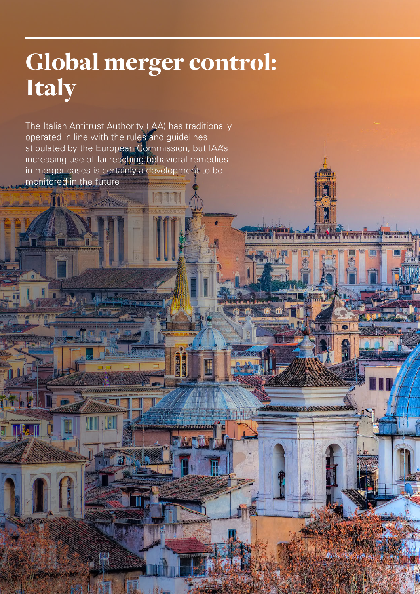## Global merger control: Italy

THE CONSUMING MONTHLOOM

13191

丽

The Italian Antitrust Authority (IAA) has traditionally operated in line with the rules and guidelines stipulated by the European Commission, but IAA's increasing use of far-reaching behavioral remedies in merger cases is certainly a development to be monitored in the future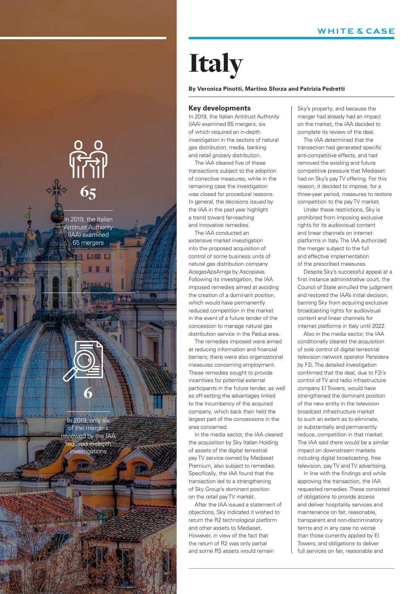# **Italy**

#### **By Veronica Pinotti, Martino Sforza and Patrizia Pedretti**

#### **Key developments**

In 2019, the Italian Antitrust Authority (IAA) examined 65 mergers, six of which required an in-depth investigation in the sectors of natural gas distribution, media, banking and retail grocery distribution.

The IAA cleared five of these transactions subject to the adoption of corrective measures, while in the remaining case the investigation was closed for procedural reasons. In general, the decisions issued by the IAA in the past year highlight a trend toward far-reaching and innovative remedies.

The IAA conducted an extensive market investigation into the proposed acquisition of control of some business units of natural gas distribution company AcegasApsAmga by Ascopiave. Following its investigation, the IAA imposed remedies aimed at avoiding the creation of a dominant position, which would have permanently reduced competition in the market in the event of a future tender of the concession to manage natural gas distribution service in the Padua area.

The remedies imposed were aimed at reducing information and financial barriers; there were also organizational measures concerning employment. These remedies sought to provide incentives for potential external participants in the future tender, as well as off-setting the advantages linked to the incumbency of the acquired company, which back then held the largest part of the concessions in the area concerned.

In the media sector, the IAA cleared the acquisition by Sky Italian Holding of assets of the digital terrestrial pay TV service owned by Mediaset Premium, also subject to remedies. Specifically, the IAA found that the transaction led to a strengthening of Sky Group's dominant position on the retail pay TV market.

After the IAA issued a statement of objections, Sky indicated it wished to return the R2 technological platform and other assets to Mediaset. However, in view of the fact that the return of R2 was only partial and some RS assets would remain

Sky's property, and because the merger had already had an impact on the market, the IAA decided to complete its review of the deal.

The IAA determined that the transaction had generated specific anti-competitive effects, and had removed the existing and future competitive pressure that Mediaset had on Sky's pay TV offering. For this reason, it decided to impose, for a three-year period, measures to restore competition to the pay TV market.

Under these restrictions, Sky is prohibited from imposing exclusive rights for its audiovisual content and linear channels on internet platforms in Italy. The IAA authorized the merger subject to the full and effective implementation of the prescribed measures.

Despite Sky's successful appeal at a first instance administrative court, the Council of State annulled the judgment and restored the IAA's initial decision, banning Sky from acquiring exclusive broadcasting rights for audiovisual content and linear channels for internet platforms in Italy until 2022.

Also in the media sector, the IAA conditionally cleared the acquisition of sole control of digital terrestrial television network operator Persidera by F2i. The detailed investigation confirmed that the deal, due to F2i's control of TV and radio infrastructure company EI Towers, would have strengthened the dominant position of the new entity in the television broadcast infrastructure market to such an extent as to eliminate, or substantially and permanently reduce, competition in that market. The IAA said there would be a similar impact on downstream markets including digital broadcasting, free television, pay TV and TV advertising.

In line with the findings and while approving the transaction, the IAA requested remedies. These consisted of obligations to provide access and deliver hospitality services and maintenance on fair, reasonable, transparent and non-discriminatory terms and in any case no worse than those currently applied by EI Towers; and obligations to deliver full services on fair, reasonable and

n 2019, the Italian Antitrust Authority (IAA) examined 65 mergers

na an

65

In 2019, only six of the mergers reviewed by the IAA equired in-depth investigations

6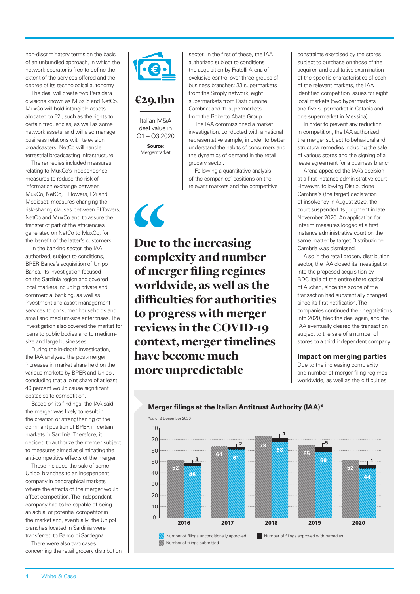non-discriminatory terms on the basis of an unbundled approach, in which the network operator is free to define the extent of the services offered and the degree of its technological autonomy.

The deal will create two Persidera divisions known as MuxCo and NetCo. MuxCo will hold intangible assets allocated to F2i, such as the rights to certain frequencies, as well as some network assets, and will also manage business relations with television broadcasters. NetCo will handle terrestrial broadcasting infrastructure.

The remedies included measures relating to MuxCo's independence; measures to reduce the risk of information exchange between MuxCo, NetCo, EI Towers, F2i and Mediaset; measures changing the risk-sharing clauses between EI Towers, NetCo and MuxCo and to assure the transfer of part of the efficiencies generated on NetCo to MuxCo, for the benefit of the latter's customers.

In the banking sector, the IAA authorized, subject to conditions, BPER Banca's acquisition of Unipol Banca. Its investigation focused on the Sardinia region and covered local markets including private and commercial banking, as well as investment and asset management services to consumer households and small and medium-size enterprises. The investigation also covered the market for loans to public bodies and to mediumsize and large businesses.

During the in-depth investigation, the IAA analyzed the post-merger increases in market share held on the various markets by BPER and Unipol, concluding that a joint share of at least 40 percent would cause significant obstacles to competition.

Based on its findings, the IAA said the merger was likely to result in the creation or strengthening of the dominant position of BPER in certain markets in Sardinia. Therefore, it decided to authorize the merger subject to measures aimed at eliminating the anti-competitive effects of the merger.

These included the sale of some Unipol branches to an independent company in geographical markets where the effects of the merger would affect competition. The independent company had to be capable of being an actual or potential competitor in the market and, eventually, the Unipol branches located in Sardinia were transferred to Banco di Sardegna.

There were also two cases concerning the retail grocery distribution



### €29.1bn

Italian M&A deal value in Q1 – Q3 2020 **Source:** 

Mergermarket

 $\epsilon$ 

sector. In the first of these, the IAA authorized subject to conditions the acquisition by Fratelli Arena of exclusive control over three groups of business branches: 33 supermarkets from the Simply network; eight supermarkets from Distribuzione Cambria; and 11 supermarkets from the Roberto Abate Group.

The IAA commissioned a market investigation, conducted with a national representative sample, in order to better understand the habits of consumers and the dynamics of demand in the retail grocery sector.

Following a quantitative analysis of the companies' positions on the relevant markets and the competitive

Due to the increasing complexity and number of merger filing regimes worldwide, as well as the difficulties for authorities to progress with merger reviews in the COVID-19 context, merger timelines have become much more unpredictable

constraints exercised by the stores subject to purchase on those of the acquirer, and qualitative examination of the specific characteristics of each of the relevant markets, the IAA identified competition issues for eight local markets (two hypermarkets and five supermarket in Catania and one supermarket in Messina).

In order to prevent any reduction in competition, the IAA authorized the merger subject to behavioral and structural remedies including the sale of various stores and the signing of a lease agreement for a business branch.

Arena appealed the IAA's decision at a first instance administrative court. However, following Distibuzione Cambria's (the target) declaration of insolvency in August 2020, the court suspended its judgment in late November 2020. An application for interim measures lodged at a first instance administrative court on the same matter by target Distribuzione Cambria was dismissed.

Also in the retail grocery distribution sector, the IAA closed its investigation into the proposed acquisition by BDC Italia of the entire share capital of Auchan, since the scope of the transaction had substantially changed since its first notification. The companies continued their negotiations into 2020, filed the deal again, and the IAA eventually cleared the transaction subject to the sale of a number of stores to a third independent company.

#### **Impact on merging parties**

Due to the increasing complexity and number of merger filing regimes worldwide, as well as the difficulties



#### **Merger filings at the Italian Antitrust Authority (IAA)\***